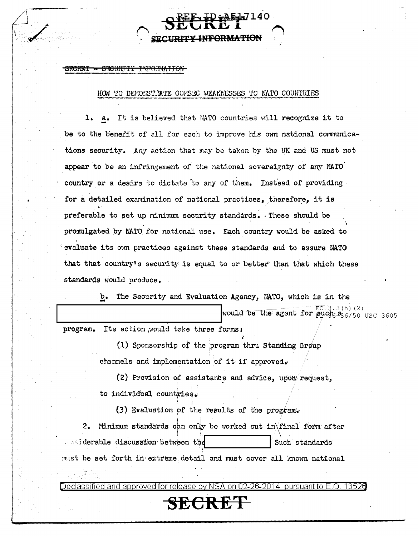## <del>SRCRUT</del> <del>SECURITY</del> <del>INFORMATION</del>

## HOW TO DEMONSTRATE COMSEC WEAKNESSES TO NATO COUNTRIES

1. a. It is believed that NATO countries will recognize it to be to the benefit of all for each to improve his own national communications security. Any action that may be taken by the UK and US must not appear to be an infringement of the national sovereignty of any NATO country or a desire to dictate to any of them. Instead of providing for a detailed examination of national practices, therefore, it is preferable to set up minimum security standards. These should be promulgated by NATO for national use. Each country would be asked to evaluate its own practices against these standards and to assure NATO that that country's security is equal to or better than that which these standards would produce.

> The Security and Evaluation Agency, NATO, which is in the  $b_{\bullet}$

> > would be the agent for such  $\frac{EO}{3.3(h) (2)}$

program. Its action would take three forms:

(1) Sponsorship of the program thru Standing Group channels and implementation of it if approved.

(2) Provision of assistance and advice, upon request, to individual countries.

(3) Evaluation of the results of the program.

2. Minimum standards can only be worked out in final form after and derable discussion between the Such standards must be set forth in extreme detail and must cover all known national

)eclassified and approved for release by NSA on 02-26-2014 pursuant to E.O 13526

SECRET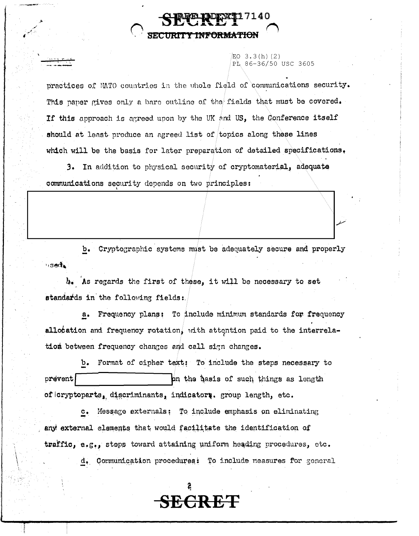EO 3.3(h)(2) PT 86-36/50 USC 3605

practices of MATO countries in the uhole field of communications security. This paper gives only a bare outline of the fields that must be covered. If this approach is agreed upon by the UK and US, the Conference itself should at least produce an agreed list of topics along these lines which will be the basis for later preparation of detailed specifications.

3. In addition to physical security of cryptomaterial, adequate communications security depends on two principles:

 $b_{\bullet}$ Cryptographic systems must be adequately secure and properly  $+$ sed $\lambda$ 

 $b<sub>•</sub>$  As regards the first of these, it will be necessary to set standards in the following fields:

a. Frequency plans: To include minimum standards for frequency allocation and frequency rotation, with attention paid to the interrelation between frequency changes and call sign changes.

b. Format of cipher text: To include the steps necessary to prevent on the basis of such things as length of cryptoparts, discriminants, indicators, group length, etc.

c. Message externals: To include emphasis on eliminating any external elements that would facilitate the identification of traffic, e.g., steps toward attaining uniform heading procedures, etc.

d. Communication procedures: To include measures for general